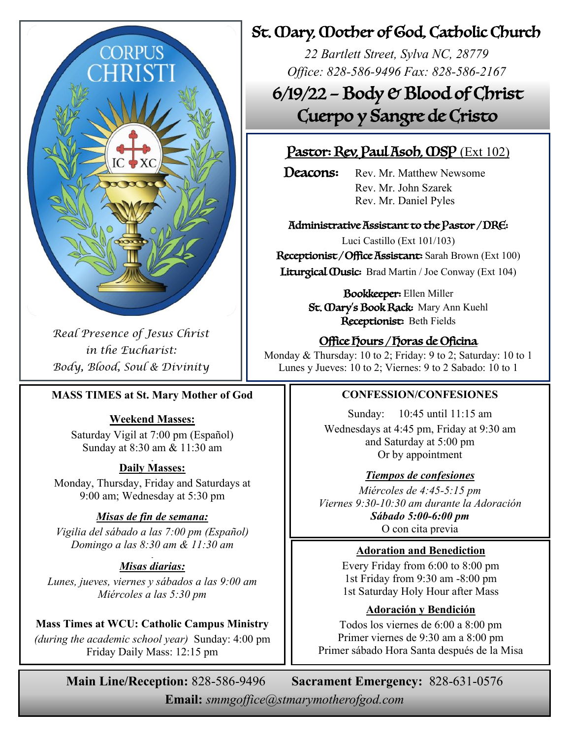

*Real Presence of Jesus Christ in the Eucharist: Body, Blood, Soul & Divinity*

#### **MASS TIMES at St. Mary Mother of God**

#### **Weekend Masses:**

Saturday Vigil at 7:00 pm (Español) Sunday at 8:30 am & 11:30 am

#### **Daily Masses:**

Monday, Thursday, Friday and Saturdays at 9:00 am; Wednesday at 5:30 pm

#### *Misas de fin de semana:*

*Vigilia del sábado a las 7:00 pm (Español) Domingo a las 8:30 am & 11:30 am*

#### *Misas diarias:*

*Lunes, jueves, viernes y sábados a las 9:00 am Miércoles a las 5:30 pm*

#### **Mass Times at WCU: Catholic Campus Ministry**

*(during the academic school year)* Sunday: 4:00 pm Friday Daily Mass: 12:15 pm

### St. Mary, Mother of God, Catholic Church

*22 Bartlett Street, Sylva NC, 28779 Office: 828-586-9496 Fax: 828-586-2167*

6/19/22 – Body & Blood of Christ Cuerpo y Sangre de Cristo

### Pastor: Rev, Paul Asob, OSP (Ext 102)

**Deacons:** Rev. Mr. Matthew Newsome Rev. Mr. John Szarek Rev. Mr. Daniel Pyles

#### Administrative Assistant to the Pastor / DRE:

Luci Castillo (Ext 101/103) Receptionist / Office Assistant: Sarah Brown (Ext 100) Liturgical Ousic: Brad Martin / Joe Conway (Ext 104)

> Bookkeeper: Ellen Miller St. **Oary's Book Rack:** Mary Ann Kuehl Receptionist: Beth Fields

### Office Hours / Horas de Oficina

Monday & Thursday: 10 to 2; Friday: 9 to 2; Saturday: 10 to 1 Lunes y Jueves: 10 to 2; Viernes: 9 to 2 Sabado: 10 to 1

#### **CONFESSION/CONFESIONES**

Sunday: 10:45 until 11:15 am Wednesdays at 4:45 pm, Friday at 9:30 am and Saturday at 5:00 pm Or by appointment

#### *Tiempos de confesiones*

*Miércoles de 4:45-5:15 pm Viernes 9:30-10:30 am durante la Adoración Sábado 5:00-6:00 pm* O con cita previa

#### **Adoration and Benediction**

Every Friday from 6:00 to 8:00 pm 1st Friday from 9:30 am -8:00 pm 1st Saturday Holy Hour after Mass

#### **Adoración y Bendición**

Todos los viernes de 6:00 a 8:00 pm Primer viernes de 9:30 am a 8:00 pm Primer sábado Hora Santa después de la Misa

**Main Line/Reception:** 828-586-9496 **Sacrament Emergency:** 828-631-0576

**Email:** *smmgoffice@stmarymotherofgod.com*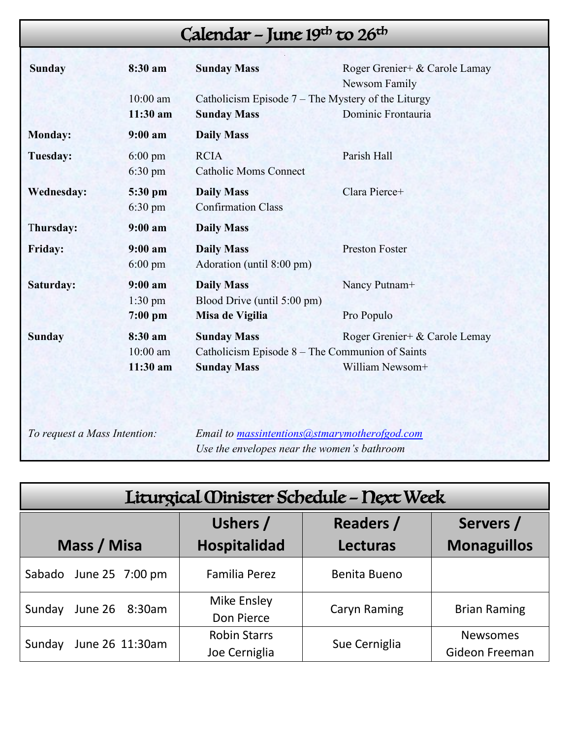# Calendar – June 19<sup>th</sup> to 26<sup>th</sup>

| <b>Sunday</b>     | 8:30 am<br>$10:00$ am<br>11:30 am      | <b>Sunday Mass</b><br>Catholicism Episode $7$ – The Mystery of the Liturgy<br><b>Sunday Mass</b> | Roger Grenier+ & Carole Lamay<br>Newsom Family<br>Dominic Frontauria |  |
|-------------------|----------------------------------------|--------------------------------------------------------------------------------------------------|----------------------------------------------------------------------|--|
| <b>Monday:</b>    | 9:00 a <sub>m</sub>                    | <b>Daily Mass</b>                                                                                |                                                                      |  |
| Tuesday:          | $6:00 \text{ pm}$<br>$6:30 \text{ pm}$ | <b>RCIA</b><br><b>Catholic Moms Connect</b>                                                      | Parish Hall                                                          |  |
| <b>Wednesday:</b> | 5:30 pm<br>$6:30 \text{ pm}$           | <b>Daily Mass</b><br><b>Confirmation Class</b>                                                   | Clara Pierce+                                                        |  |
| Thursday:         | 9:00 a m                               | <b>Daily Mass</b>                                                                                |                                                                      |  |
| <b>Friday:</b>    | 9:00 a m<br>$6:00 \text{ pm}$          | <b>Daily Mass</b><br>Adoration (until 8:00 pm)                                                   | <b>Preston Foster</b>                                                |  |
| Saturday:         | 9:00 a m<br>$1:30$ pm<br>$7:00$ pm     | <b>Daily Mass</b><br>Blood Drive (until 5:00 pm)<br>Misa de Vigilia                              | Nancy Putnam+<br>Pro Populo                                          |  |
| <b>Sunday</b>     | 8:30 am<br>$10:00$ am<br>$11:30$ am    | <b>Sunday Mass</b><br>Catholicism Episode $8$ – The Communion of Saints<br><b>Sunday Mass</b>    | Roger Grenier+ & Carole Lemay<br>William Newsom+                     |  |

*To request a Mass Intention: Email to [massintentions@stmarymotherofgod.com](mailto:massintentions@stmarymotherofgod.com) Use the envelopes near the women's bathroom*

| Liturgical Oinister Schedule - Next Week |                     |                  |                     |  |  |
|------------------------------------------|---------------------|------------------|---------------------|--|--|
|                                          | Ushers /            | <b>Readers /</b> | Servers /           |  |  |
| Mass / Misa                              | <b>Hospitalidad</b> | <b>Lecturas</b>  | <b>Monaguillos</b>  |  |  |
| June 25 7:00 pm<br>Sabado                | Familia Perez       | Benita Bueno     |                     |  |  |
| June 26 8:30am<br>Sunday                 | <b>Mike Ensley</b>  | Caryn Raming     | <b>Brian Raming</b> |  |  |
|                                          | Don Pierce          |                  |                     |  |  |
| June 26 11:30am<br>Sunday                | <b>Robin Starrs</b> | Sue Cerniglia    | <b>Newsomes</b>     |  |  |
|                                          | Joe Cerniglia       |                  | Gideon Freeman      |  |  |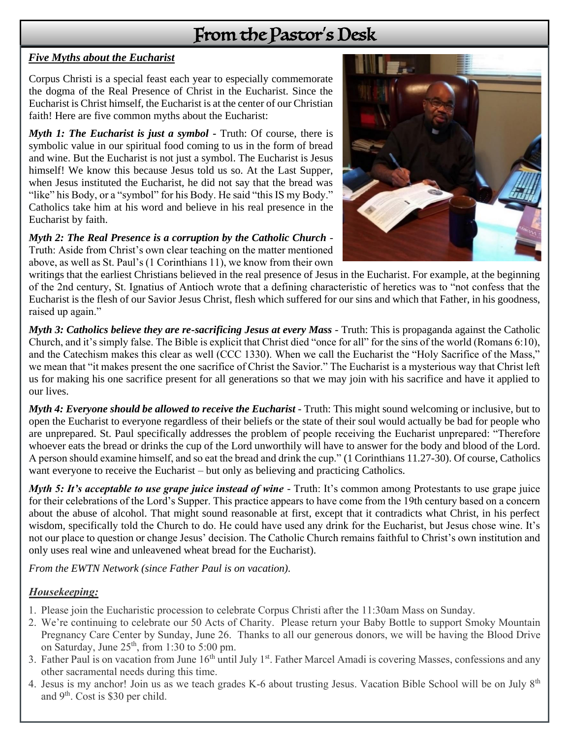## From the Pastor's Desk

#### *Five Myths about the Eucharist*

Corpus Christi is a special feast each year to especially commemorate the dogma of the Real Presence of Christ in the Eucharist. Since the Eucharist is Christ himself, the Eucharist is at the center of our Christian faith! Here are five common myths about the Eucharist:

*Myth 1: The Eucharist is just a symbol* - Truth: Of course, there is symbolic value in our spiritual food coming to us in the form of bread and wine. But the Eucharist is not just a symbol. The Eucharist is Jesus himself! We know this because Jesus told us so. At the Last Supper, when Jesus instituted the Eucharist, he did not say that the bread was "like" his Body, or a "symbol" for his Body. He said "this IS my Body." Catholics take him at his word and believe in his real presence in the Eucharist by faith.

*Myth 2: The Real Presence is a corruption by the Catholic Church* - Truth: Aside from Christ's own clear teaching on the matter mentioned above, as well as St. Paul's (1 Corinthians 11), we know from their own



writings that the earliest Christians believed in the real presence of Jesus in the Eucharist. For example, at the beginning of the 2nd century, St. Ignatius of Antioch wrote that a defining characteristic of heretics was to "not confess that the Eucharist is the flesh of our Savior Jesus Christ, flesh which suffered for our sins and which that Father, in his goodness, raised up again."

*Myth 3: Catholics believe they are re-sacrificing Jesus at every Mass* - Truth: This is propaganda against the Catholic Church, and it's simply false. The Bible is explicit that Christ died "once for all" for the sins of the world (Romans 6:10), and the Catechism makes this clear as well (CCC 1330). When we call the Eucharist the "Holy Sacrifice of the Mass," we mean that "it makes present the one sacrifice of Christ the Savior." The Eucharist is a mysterious way that Christ left us for making his one sacrifice present for all generations so that we may join with his sacrifice and have it applied to our lives.

*Myth 4: Everyone should be allowed to receive the Eucharist* - Truth: This might sound welcoming or inclusive, but to open the Eucharist to everyone regardless of their beliefs or the state of their soul would actually be bad for people who are unprepared. St. Paul specifically addresses the problem of people receiving the Eucharist unprepared: "Therefore whoever eats the bread or drinks the cup of the Lord unworthily will have to answer for the body and blood of the Lord. A person should examine himself, and so eat the bread and drink the cup." (1 Corinthians 11.27-30). Of course, Catholics want everyone to receive the Eucharist – but only as believing and practicing Catholics.

*Myth 5: It's acceptable to use grape juice instead of wine* - Truth: It's common among Protestants to use grape juice for their celebrations of the Lord's Supper. This practice appears to have come from the 19th century based on a concern about the abuse of alcohol. That might sound reasonable at first, except that it contradicts what Christ, in his perfect wisdom, specifically told the Church to do. He could have used any drink for the Eucharist, but Jesus chose wine. It's not our place to question or change Jesus' decision. The Catholic Church remains faithful to Christ's own institution and only uses real wine and unleavened wheat bread for the Eucharist).

*From the EWTN Network (since Father Paul is on vacation).*

#### *Housekeeping:*

- 1. Please join the Eucharistic procession to celebrate Corpus Christi after the 11:30am Mass on Sunday.
- 2. We're continuing to celebrate our 50 Acts of Charity. Please return your Baby Bottle to support Smoky Mountain Pregnancy Care Center by Sunday, June 26. Thanks to all our generous donors, we will be having the Blood Drive on Saturday, June  $25<sup>th</sup>$ , from 1:30 to 5:00 pm.
- 3. Father Paul is on vacation from June  $16<sup>th</sup>$  until July 1<sup>st</sup>. Father Marcel Amadi is covering Masses, confessions and any other sacramental needs during this time.
- 4. Jesus is my anchor! Join us as we teach grades K-6 about trusting Jesus. Vacation Bible School will be on July  $8<sup>th</sup>$ and 9<sup>th</sup>. Cost is \$30 per child.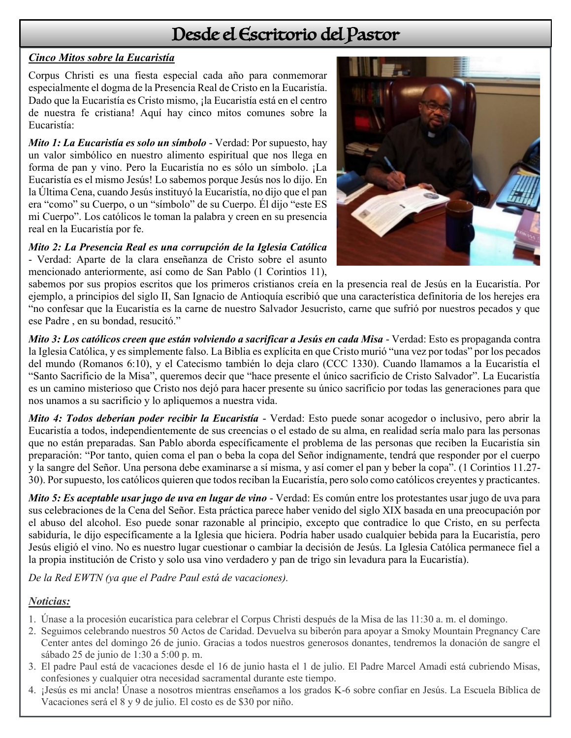## Desde el Escritorio del Pastor

#### *Cinco Mitos sobre la Eucaristía*

Corpus Christi es una fiesta especial cada año para conmemorar especialmente el dogma de la Presencia Real de Cristo en la Eucaristía. Dado que la Eucaristía es Cristo mismo, ¡la Eucaristía está en el centro de nuestra fe cristiana! Aquí hay cinco mitos comunes sobre la Eucaristía:

*Mito 1: La Eucaristía es solo un símbolo* - Verdad: Por supuesto, hay un valor simbólico en nuestro alimento espiritual que nos llega en forma de pan y vino. Pero la Eucaristía no es sólo un símbolo. ¡La Eucaristía es el mismo Jesús! Lo sabemos porque Jesús nos lo dijo. En la Última Cena, cuando Jesús instituyó la Eucaristía, no dijo que el pan era "como" su Cuerpo, o un "símbolo" de su Cuerpo. Él dijo "este ES mi Cuerpo". Los católicos le toman la palabra y creen en su presencia real en la Eucaristía por fe.

*Mito 2: La Presencia Real es una corrupción de la Iglesia Católica* - Verdad: Aparte de la clara enseñanza de Cristo sobre el asunto mencionado anteriormente, así como de San Pablo (1 Corintios 11),



sabemos por sus propios escritos que los primeros cristianos creía en la presencia real de Jesús en la Eucaristía. Por ejemplo, a principios del siglo II, San Ignacio de Antioquía escribió que una característica definitoria de los herejes era "no confesar que la Eucaristía es la carne de nuestro Salvador Jesucristo, carne que sufrió por nuestros pecados y que ese Padre , en su bondad, resucitó."

*Mito 3: Los católicos creen que están volviendo a sacrificar a Jesús en cada Misa* - Verdad: Esto es propaganda contra la Iglesia Católica, y es simplemente falso. La Biblia es explícita en que Cristo murió "una vez por todas" por los pecados del mundo (Romanos 6:10), y el Catecismo también lo deja claro (CCC 1330). Cuando llamamos a la Eucaristía el "Santo Sacrificio de la Misa", queremos decir que "hace presente el único sacrificio de Cristo Salvador". La Eucaristía es un camino misterioso que Cristo nos dejó para hacer presente su único sacrificio por todas las generaciones para que nos unamos a su sacrificio y lo apliquemos a nuestra vida.

*Mito 4: Todos deberían poder recibir la Eucaristía* - Verdad: Esto puede sonar acogedor o inclusivo, pero abrir la Eucaristía a todos, independientemente de sus creencias o el estado de su alma, en realidad sería malo para las personas que no están preparadas. San Pablo aborda específicamente el problema de las personas que reciben la Eucaristía sin preparación: "Por tanto, quien coma el pan o beba la copa del Señor indignamente, tendrá que responder por el cuerpo y la sangre del Señor. Una persona debe examinarse a sí misma, y así comer el pan y beber la copa". (1 Corintios 11.27- 30). Por supuesto, los católicos quieren que todos reciban la Eucaristía, pero solo como católicos creyentes y practicantes.

*Mito 5: Es aceptable usar jugo de uva en lugar de vino* - Verdad: Es común entre los protestantes usar jugo de uva para sus celebraciones de la Cena del Señor. Esta práctica parece haber venido del siglo XIX basada en una preocupación por el abuso del alcohol. Eso puede sonar razonable al principio, excepto que contradice lo que Cristo, en su perfecta sabiduría, le dijo específicamente a la Iglesia que hiciera. Podría haber usado cualquier bebida para la Eucaristía, pero Jesús eligió el vino. No es nuestro lugar cuestionar o cambiar la decisión de Jesús. La Iglesia Católica permanece fiel a la propia institución de Cristo y solo usa vino verdadero y pan de trigo sin levadura para la Eucaristía).

*De la Red EWTN (ya que el Padre Paul está de vacaciones).*

#### *Noticias:*

- 1. Únase a la procesión eucarística para celebrar el Corpus Christi después de la Misa de las 11:30 a. m. el domingo.
- 2. Seguimos celebrando nuestros 50 Actos de Caridad. Devuelva su biberón para apoyar a Smoky Mountain Pregnancy Care Center antes del domingo 26 de junio. Gracias a todos nuestros generosos donantes, tendremos la donación de sangre el sábado 25 de junio de 1:30 a 5:00 p. m.
- 3. El padre Paul está de vacaciones desde el 16 de junio hasta el 1 de julio. El Padre Marcel Amadi está cubriendo Misas, confesiones y cualquier otra necesidad sacramental durante este tiempo.
- 4. ¡Jesús es mi ancla! Únase a nosotros mientras enseñamos a los grados K-6 sobre confiar en Jesús. La Escuela Bíblica de Vacaciones será el 8 y 9 de julio. El costo es de \$30 por niño.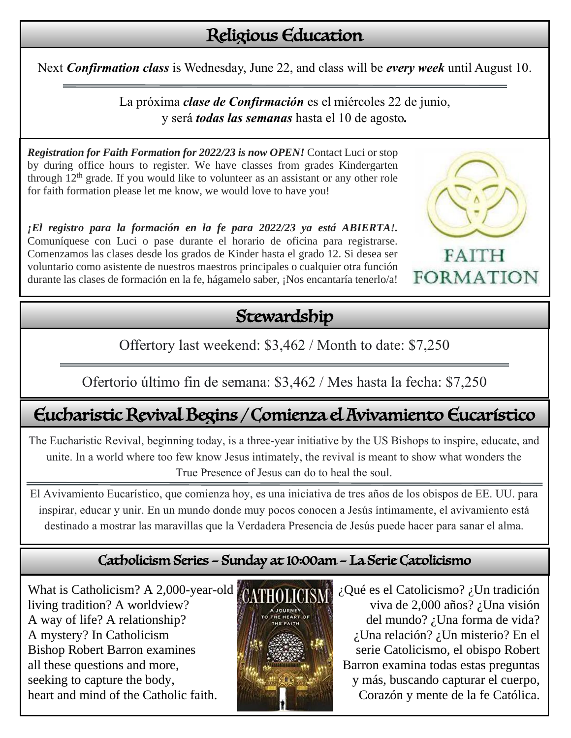# Religious Education

Next *Confirmation class* is Wednesday, June 22, and class will be *every week* until August 10.

La próxima *clase de Confirmación* es el miércoles 22 de junio, y será *todas las semanas* hasta el 10 de agosto*.*

*Registration for Faith Formation for 2022/23 is now OPEN!* Contact Luci or stop by during office hours to register. We have classes from grades Kindergarten through  $12<sup>th</sup>$  grade. If you would like to volunteer as an assistant or any other role for faith formation please let me know, we would love to have you!

*¡El registro para la formación en la fe para 2022/23 ya está ABIERTA!.* Comuníquese con Luci o pase durante el horario de oficina para registrarse. Comenzamos las clases desde los grados de Kinder hasta el grado 12. Si desea ser voluntario como asistente de nuestros maestros principales o cualquier otra función durante las clases de formación en la fe, hágamelo saber, ¡Nos encantaría tenerlo/a!

# Stewardship

Offertory last weekend: \$3,462 / Month to date: \$7,250

Ofertorio último fin de semana: \$3,462 / Mes hasta la fecha: \$7,250

# Eucharistic Revival Begins / Comienza el Avivamiento Eucarístico

The Eucharistic Revival, beginning today, is a three-year initiative by the US Bishops to inspire, educate, and unite. In a world where too few know Jesus intimately, the revival is meant to show what wonders the True Presence of Jesus can do to heal the soul.

El Avivamiento Eucarístico, que comienza hoy, es una iniciativa de tres años de los obispos de EE. UU. para inspirar, educar y unir. En un mundo donde muy pocos conocen a Jesús íntimamente, el avivamiento está destinado a mostrar las maravillas que la Verdadera Presencia de Jesús puede hacer para sanar el alma.

### Catholicism Series – Sunday at 10:00am – La Serie Catolicismo

What is Catholicism? A 2,000-year-old  $\alpha$  *CATHOLICISM*  $\alpha$  Qué es el Catolicismo?  $\alpha$  Un tradición living tradition? A worldview? viva de 2,000 años? ¿Una visión A way of life? A relationship?  $\mathbb{R}$  **del mundo?** *i* Una forma de vida? A mystery? In Catholicism ¿Una relación? ¿Un misterio? En el all these questions and more, **Barron** examina todas estas preguntas seeking to capture the body,  $y$  más, buscando capturar el cuerpo, heart and mind of the Catholic faith. Corazón y mente de la fe Católica.



Bishop Robert Barron examines serie Catolicismo, el obispo Robert



**FORMATION**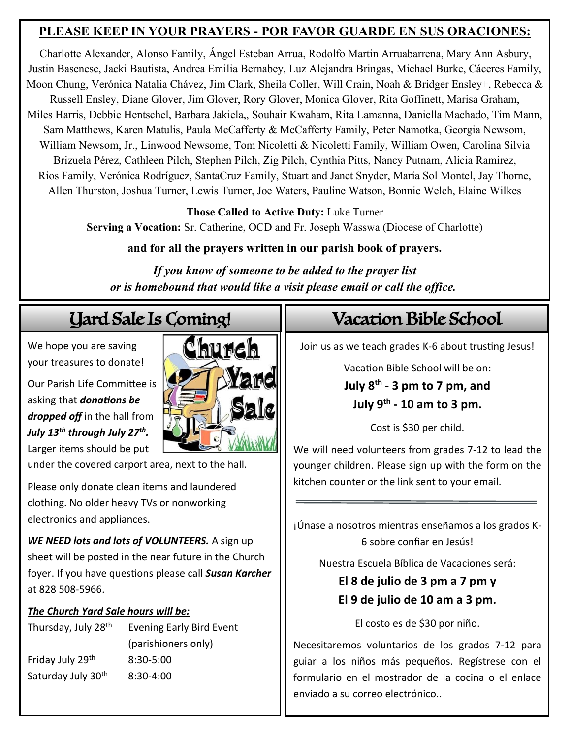### **PLEASE KEEP IN YOUR PRAYERS - POR FAVOR GUARDE EN SUS ORACIONES:**

Charlotte Alexander, Alonso Family, Ángel Esteban Arrua, Rodolfo Martin Arruabarrena, Mary Ann Asbury, Justin Basenese, Jacki Bautista, Andrea Emilia Bernabey, Luz Alejandra Bringas, Michael Burke, Cáceres Family, Moon Chung, Verónica Natalia Chávez, Jim Clark, Sheila Coller, Will Crain, Noah & Bridger Ensley+, Rebecca & Russell Ensley, Diane Glover, Jim Glover, Rory Glover, Monica Glover, Rita Goffinett, Marisa Graham, Miles Harris, Debbie Hentschel, Barbara Jakiela,, Souhair Kwaham, Rita Lamanna, Daniella Machado, Tim Mann, Sam Matthews, Karen Matulis, Paula McCafferty & McCafferty Family, Peter Namotka, Georgia Newsom, William Newsom, Jr., Linwood Newsome, Tom Nicoletti & Nicoletti Family, William Owen, Carolina Silvia Brizuela Pérez, Cathleen Pilch, Stephen Pilch, Zig Pilch, Cynthia Pitts, Nancy Putnam, Alicia Ramirez, Rios Family, Verónica Rodríguez, SantaCruz Family, Stuart and Janet Snyder, María Sol Montel, Jay Thorne, Allen Thurston, Joshua Turner, Lewis Turner, Joe Waters, Pauline Watson, Bonnie Welch, Elaine Wilkes

> **Those Called to Active Duty:** Luke Turner **Serving a Vocation:** Sr. Catherine, OCD and Fr. Joseph Wasswa (Diocese of Charlotte)

> > **and for all the prayers written in our parish book of prayers.**

*If you know of someone to be added to the prayer list or is homebound that would like a visit please email or call the office.*

We hope you are saving your treasures to donate!

Our Parish Life Committee is asking that *donations be dropped off* in the hall from *July 13th through July 27th .* Larger items should be put

under the covered carport area, next to the hall.

Please only donate clean items and laundered clothing. No older heavy TVs or nonworking electronics and appliances.

*WE NEED lots and lots of VOLUNTEERS.* A sign up sheet will be posted in the near future in the Church foyer. If you have questions please call *Susan Karcher* at 828 508-5966.

(parishioners only)

#### *The Church Yard Sale hours will be:*

Thursday, July 28<sup>th</sup> Evening Early Bird Event Friday July  $29<sup>th</sup>$  8:30-5:00 Saturday July  $30<sup>th</sup>$  8:30-4:00

Church

# Yard Sale Is Coming! Vacation Bible School

Join us as we teach grades K-6 about trusting Jesus!

Vacation Bible School will be on: **July 8th - 3 pm to 7 pm, and July 9th - 10 am to 3 pm.**

Cost is \$30 per child.

We will need volunteers from grades 7-12 to lead the younger children. Please sign up with the form on the kitchen counter or the link sent to your email.

¡Únase a nosotros mientras enseñamos a los grados K-6 sobre confiar en Jesús!

Nuestra Escuela Bíblica de Vacaciones será:

### **El 8 de julio de 3 pm a 7 pm y El 9 de julio de 10 am a 3 pm.**

El costo es de \$30 por niño.

Necesitaremos voluntarios de los grados 7-12 para guiar a los niños más pequeños. Regístrese con el formulario en el mostrador de la cocina o el enlace enviado a su correo electrónico..

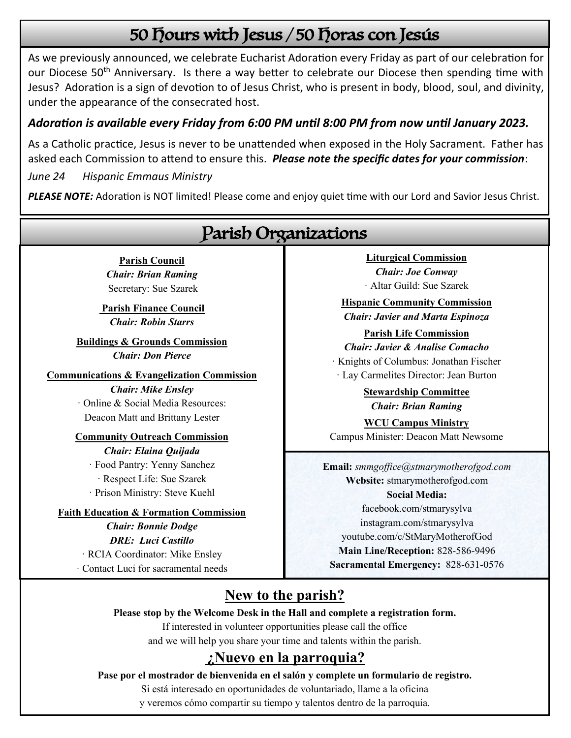# 50 Hours with Jesus / 50 Horas con Jesús

As we previously announced, we celebrate Eucharist Adoration every Friday as part of our celebration for our Diocese 50<sup>th</sup> Anniversary. Is there a way better to celebrate our Diocese then spending time with Jesus? Adoration is a sign of devotion to of Jesus Christ, who is present in body, blood, soul, and divinity, under the appearance of the consecrated host.

### *Adoration is available every Friday from 6:00 PM until 8:00 PM from now until January 2023.*

As a Catholic practice, Jesus is never to be unattended when exposed in the Holy Sacrament. Father has asked each Commission to attend to ensure this. *Please note the specific dates for your commission*:

*June 24 Hispanic Emmaus Ministry*

*PLEASE NOTE:* Adoration is NOT limited! Please come and enjoy quiet time with our Lord and Savior Jesus Christ.



### **¿Nuevo en la parroquia?**

**Pase por el mostrador de bienvenida en el salón y complete un formulario de registro.** 

Si está interesado en oportunidades de voluntariado, llame a la oficina

y veremos cómo compartir su tiempo y talentos dentro de la parroquia.